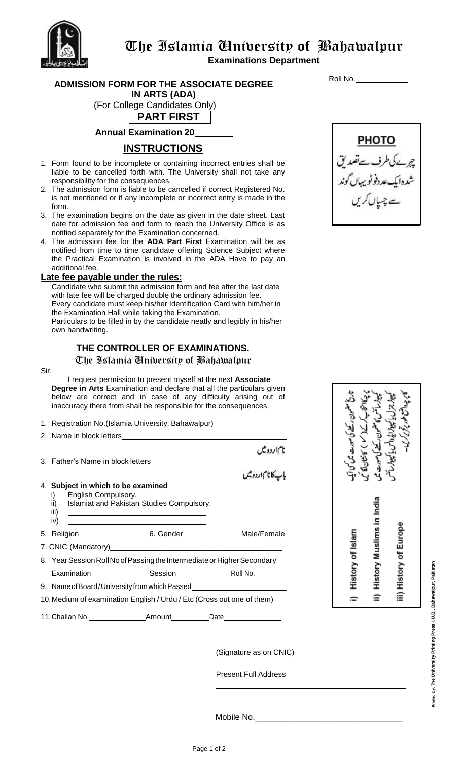

**Examinations Department**

**ADMISSION FORM FOR THE ASSOCIATE DEGREE IN ARTS (ADA)**

(For College Candidates Only)

**PART FIRST**

**Annual Examination 20**

## **INSTRUCTIONS**

- 1. Form found to be incomplete or containing incorrect entries shall be liable to be cancelled forth with. The University shall not take any responsibility for the consequences.
- 2. The admission form is liable to be cancelled if correct Registered No. is not mentioned or if any incomplete or incorrect entry is made in the form.
- 3. The examination begins on the date as given in the date sheet. Last date for admission fee and form to reach the University Office is as notified separately for the Examination concerned.
- 4. The admission fee for the **ADA Part First** Examination will be as notified from time to time candidate offering Science Subject where the Practical Examination is involved in the ADA Have to pay an additional fee.

### **Late fee payable under the rules:**

Candidate who submit the admission form and fee after the last date with late fee will be charged double the ordinary admission fee. Every candidate must keep his/her Identification Card with him/her in the Examination Hall while taking the Examination.

Particulars to be filled in by the candidate neatly and legibly in his/her own handwriting.

## **THE CONTROLLER OF EXAMINATIONS.** The Islamia University of Bahawalpur

#### Sir,

I request permission to present myself at the next **Associate Degree in Arts** Examination and declare that all the particulars given below are correct and in case of any difficulty arising out of inaccuracy there from shall be responsible for the consequences.

| 1. Registration No. (Islamia University, Bahawalpur) [11] Registration No. (Islamia University, Bahawalpur)                                                                                                                                           |
|-------------------------------------------------------------------------------------------------------------------------------------------------------------------------------------------------------------------------------------------------------|
|                                                                                                                                                                                                                                                       |
|                                                                                                                                                                                                                                                       |
|                                                                                                                                                                                                                                                       |
| یاپ کا نام اردو میں مستقبل کر دیا ہے ۔ اس کے مستقبل کر دیا تھا کہ اس کے مستقبل کر دیا تھا کہ اس کے درمان کے دی                                                                                                                                        |
| 4. Subject in which to be examined<br>i) English Compulsory.<br>ii) Islamiat and Pakistan Studies Compulsory.<br>iii)<br><u> 1989 - Johann Stein, markin sanat masjid asl a shekara ta 1989 - An tsara ta 1989 - An tsara ta 1989 - An tsa</u><br>iv) |
| 5. Religion 6. Gender Male/Female                                                                                                                                                                                                                     |
|                                                                                                                                                                                                                                                       |
| 8. Year Session Roll No of Passing the Intermediate or Higher Secondary                                                                                                                                                                               |
|                                                                                                                                                                                                                                                       |
|                                                                                                                                                                                                                                                       |
| 10. Medium of examination English / Urdu / Etc (Cross out one of them)                                                                                                                                                                                |
|                                                                                                                                                                                                                                                       |

History Muslims in India **History of Europe History of Islam** ≘ ≘

(Signature as on CNIC)

Present Full Address

Mobile No.\_\_\_\_

Roll No.



Printed by: The University Printing Press I.U.B., Bahawalpur, Pakistan **Printed by: The University Printing Press I.U.B., Bahawalpur, Pakistan**